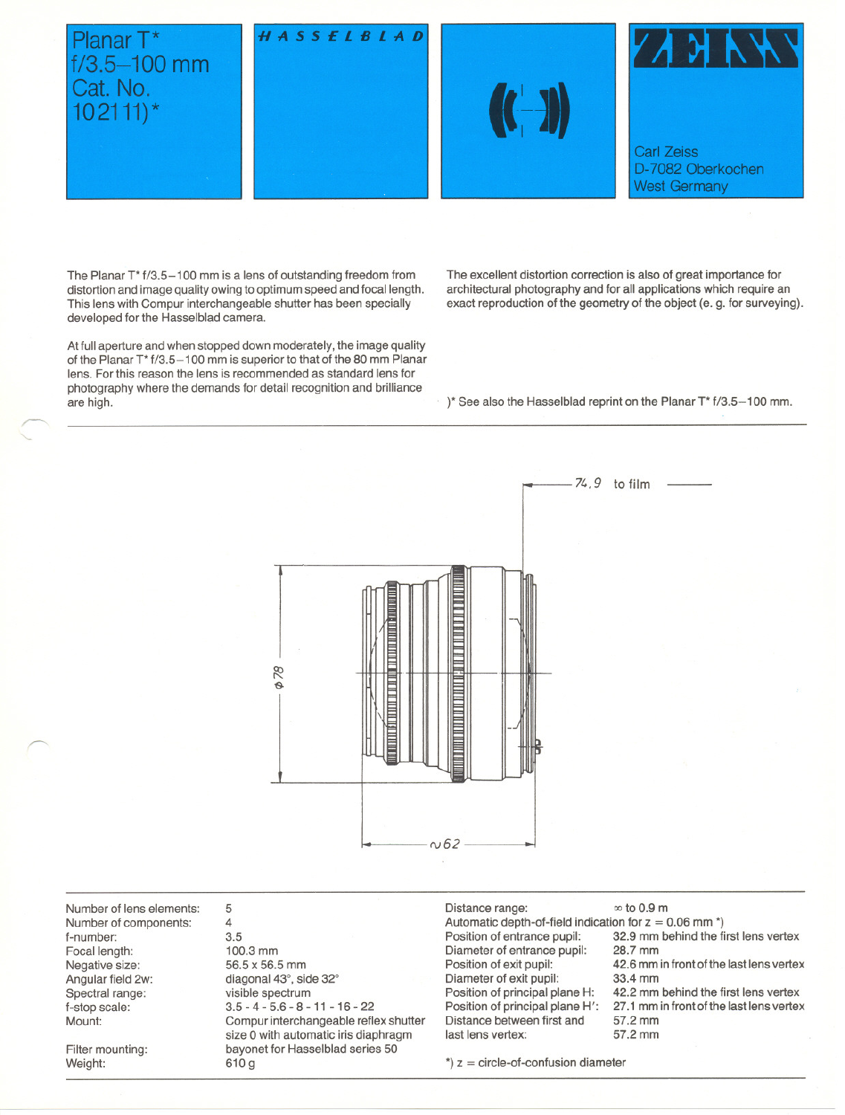# Planar T\*  $f/3.5 - 100$  mm Cat. No.  $102111$

~

~







The Planar T<sup>\*</sup> f/3.5-100 mm is a lens of outstanding freedom from distortion and image quality owing to optimum speed and focal length. This lens with Compur interchangeable shutter has been specially developed tor the Hasselblad eamera.

At full aperture and when stopped down moderately, the image quality of the Planar T\* f/3.5-1 00 mm is superior to that of the 80 mm Planar lens. For this reason the lens is recommended as standard lens for photography where the demands for detail recognition and brilliance are high.

The excellent distortion correction is also of great importance for arehiteetural photography and tor all applieations whieh require an exact reproduction of the geometry of the object (e. g. for surveying).

)\* See also the Hasselblad reprint on the Planar T\* f/3.5-1 00 mm.



Number of lens elements: Number of eomponents: f-number: Focal length: Negative size: Angular field 2w: Spectral range: f-stop scala: Mount:

Filter mounting: Weight:

5 4 3.5 100.3 mm 56.5 x 56.5 mm diagonal 43°, side 32° visible spectrum 3.5 - 4 - 5.6 - 8 - 11 - 16 - 22 Compur interehangeable reflex shutter size 0 with automatie iris diaphragm bayonet for Hasselblad series 50 610 9

Distance range:  $\infty$  to 0.9 m Automatic depth-of-field indication for  $z = 0.06$  mm  $\text{*}$ ) Position of entrance pupil: 32.9 mm behind the first lens vertex<br>Diameter of entrance pupil: 28.7 mm Diameter of entrance pupil:<br>Position of exit pupil: Diameter of exit pupil:<br>Position of principal plane H: Position of principal plane H: 42.2 mm behind the first lens vertex<br>Position of principal plane H': 27.1 mm in front of the last lens vertex Distance between first and last lens vertex: 57.2 mm

42.6 mm in front of the last lens vertex<br>33.4 mm

27.1 mm in front of the last lens vertex<br>57.2 mm

 $*$ )  $z =$  circle-of-confusion diameter